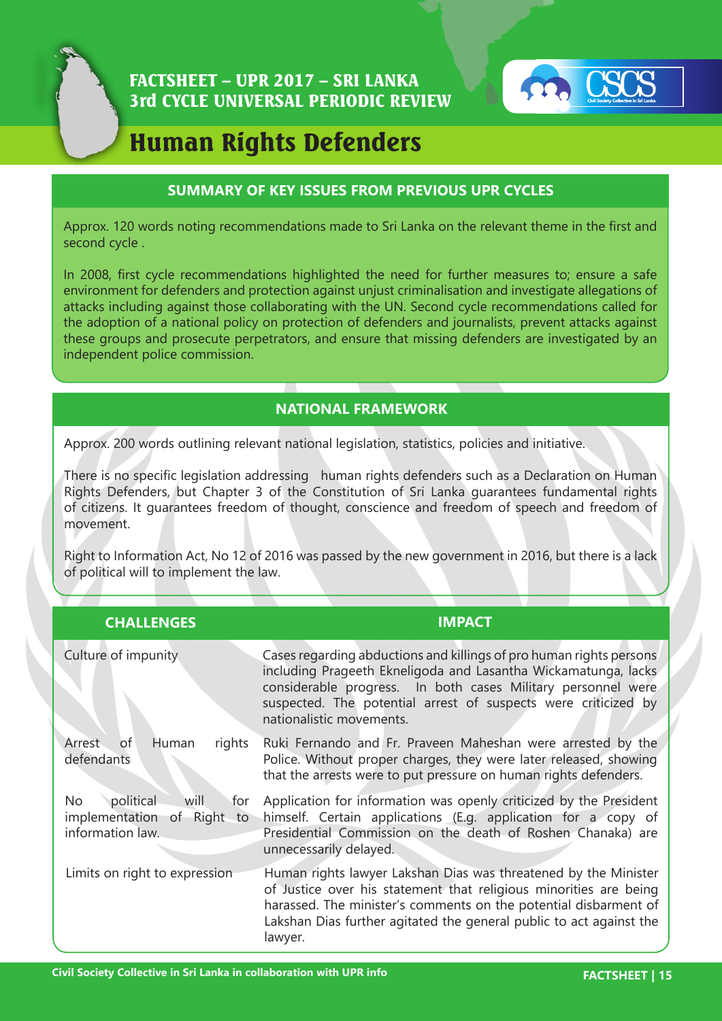

## FACTSHEET – UPR 2017 – SRI LANKA 3rd CYCLE UNIVERSAL PERIODIC REVIEW



# Human Rights Defenders

#### **SUMMARY OF KEY ISSUES FROM PREVIOUS UPR CYCLES**

Approx. 120 words noting recommendations made to Sri Lanka on the relevant theme in the first and second cycle .

In 2008, first cycle recommendations highlighted the need for further measures to; ensure a safe environment for defenders and protection against unjust criminalisation and investigate allegations of attacks including against those collaborating with the UN. Second cycle recommendations called for the adoption of a national policy on protection of defenders and journalists, prevent attacks against these groups and prosecute perpetrators, and ensure that missing defenders are investigated by an independent police commission.

### **NATIONAL FRAMEWORK**

Approx. 200 words outlining relevant national legislation, statistics, policies and initiative.

There is no specific legislation addressing human rights defenders such as a Declaration on Human Rights Defenders, but Chapter 3 of the Constitution of Sri Lanka guarantees fundamental rights of citizens. It guarantees freedom of thought, conscience and freedom of speech and freedom of movement.

Right to Information Act, No 12 of 2016 was passed by the new government in 2016, but there is a lack of political will to implement the law.

| <b>CHALLENGES</b>                                                                   | <b>IMPACT</b>                                                                                                                                                                                                                                                                                       |
|-------------------------------------------------------------------------------------|-----------------------------------------------------------------------------------------------------------------------------------------------------------------------------------------------------------------------------------------------------------------------------------------------------|
| Culture of impunity                                                                 | Cases regarding abductions and killings of pro human rights persons<br>including Prageeth Ekneligoda and Lasantha Wickamatunga, lacks<br>considerable progress. In both cases Military personnel were<br>suspected. The potential arrest of suspects were criticized by<br>nationalistic movements. |
| <b>of</b><br>Human<br>rights<br>Arrest<br>defendants                                | Ruki Fernando and Fr. Praveen Maheshan were arrested by the<br>Police. Without proper charges, they were later released, showing<br>that the arrests were to put pressure on human rights defenders.                                                                                                |
| political<br>will<br>No<br>for<br>implementation<br>of Right to<br>information law. | Application for information was openly criticized by the President<br>himself. Certain applications (E.g. application for a copy of<br>Presidential Commission on the death of Roshen Chanaka) are<br>unnecessarily delayed.                                                                        |
| Limits on right to expression                                                       | Human rights lawyer Lakshan Dias was threatened by the Minister<br>of Justice over his statement that religious minorities are being<br>harassed. The minister's comments on the potential disbarment of<br>Lakshan Dias further agitated the general public to act against the<br>lawyer.          |